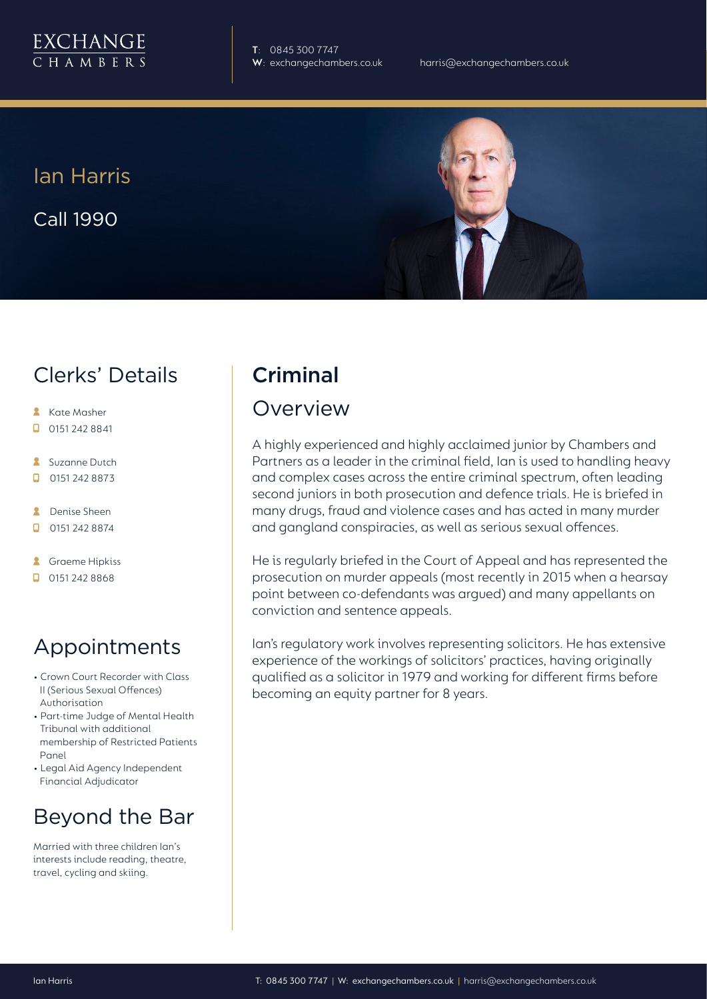

**T**: 0845 300 7747

Ian Harris Call 1990



# Clerks' Details

- **Kate Masher**
- $\Box$  0151 242 8841
- **Suzanne Dutch**
- $\Box$ 0151 242 8873
- **A** Denise Sheen
- $\Box$ 0151 242 8874
- **A** Graeme Hipkiss
- $\Box$  0151 242 8868

# Appointments

- Crown Court Recorder with Class II (Serious Sexual Offences) Authorisation
- Part-time Judge of Mental Health Tribunal with additional membership of Restricted Patients Panel
- Legal Aid Agency Independent Financial Adjudicator

# Beyond the Bar

Married with three children Ian's interests include reading, theatre, travel, cycling and skiing.

# Criminal

## Overview

A highly experienced and highly acclaimed junior by Chambers and Partners as a leader in the criminal field, Ian is used to handling heavy and complex cases across the entire criminal spectrum, often leading second juniors in both prosecution and defence trials. He is briefed in many drugs, fraud and violence cases and has acted in many murder and gangland conspiracies, as well as serious sexual offences.

He is regularly briefed in the Court of Appeal and has represented the prosecution on murder appeals (most recently in 2015 when a hearsay point between co-defendants was argued) and many appellants on conviction and sentence appeals.

Ian's regulatory work involves representing solicitors. He has extensive experience of the workings of solicitors' practices, having originally qualified as a solicitor in 1979 and working for different firms before becoming an equity partner for 8 years.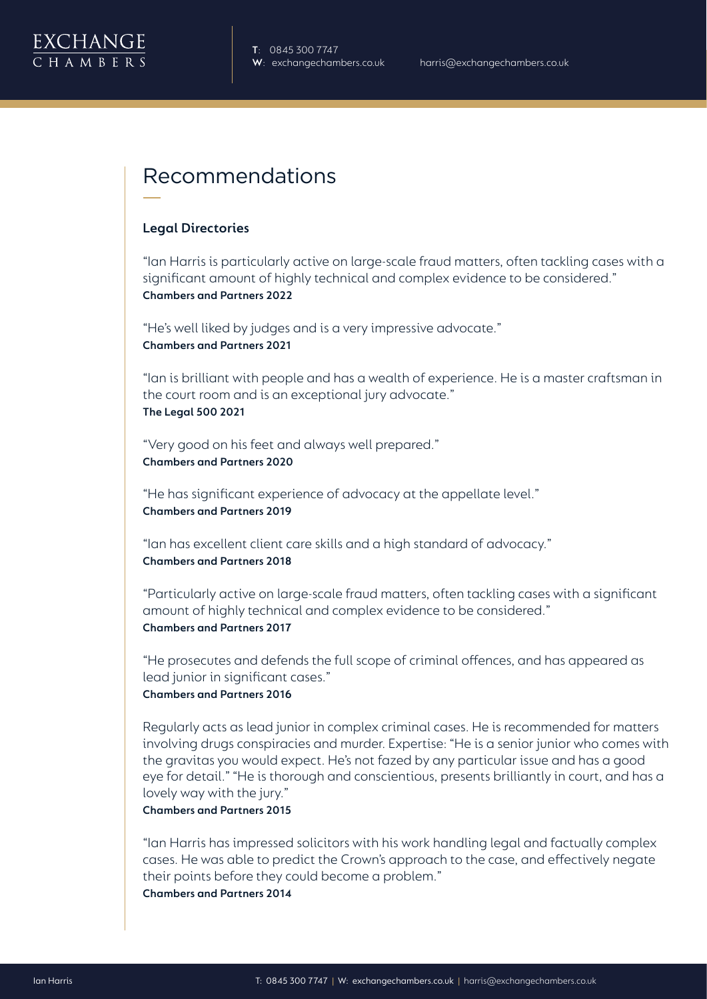

# Recommendations

#### **Legal Directories**

"Ian Harris is particularly active on large-scale fraud matters, often tackling cases with a significant amount of highly technical and complex evidence to be considered." **Chambers and Partners 2022**

"He's well liked by judges and is a very impressive advocate." **Chambers and Partners 2021**

"Ian is brilliant with people and has a wealth of experience. He is a master craftsman in the court room and is an exceptional jury advocate." **The Legal 500 2021**

"Very good on his feet and always well prepared." **Chambers and Partners 2020**

"He has significant experience of advocacy at the appellate level." **Chambers and Partners 2019** 

"Ian has excellent client care skills and a high standard of advocacy." **Chambers and Partners 2018**

"Particularly active on large-scale fraud matters, often tackling cases with a significant amount of highly technical and complex evidence to be considered." **Chambers and Partners 2017**

"He prosecutes and defends the full scope of criminal offences, and has appeared as lead junior in significant cases."

### **Chambers and Partners 2016**

Regularly acts as lead junior in complex criminal cases. He is recommended for matters involving drugs conspiracies and murder. Expertise: "He is a senior junior who comes with the gravitas you would expect. He's not fazed by any particular issue and has a good eye for detail." "He is thorough and conscientious, presents brilliantly in court, and has a lovely way with the jury."

#### **Chambers and Partners 2015**

"Ian Harris has impressed solicitors with his work handling legal and factually complex cases. He was able to predict the Crown's approach to the case, and effectively negate their points before they could become a problem."

**Chambers and Partners 2014**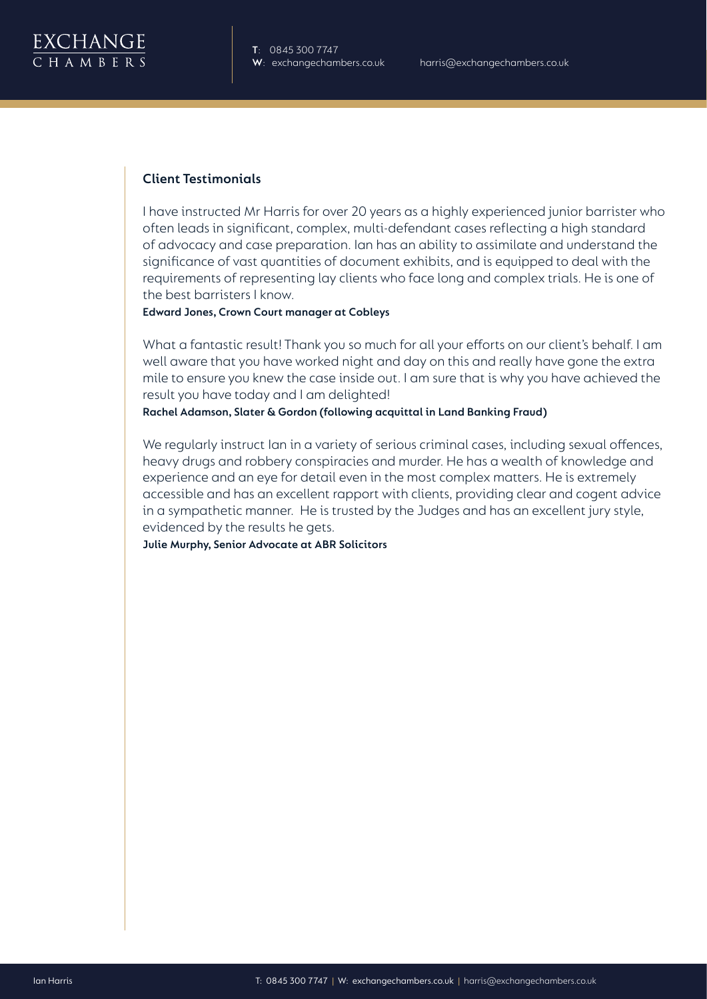

### **Client Testimonials**

I have instructed Mr Harris for over 20 years as a highly experienced junior barrister who often leads in significant, complex, multi-defendant cases reflecting a high standard of advocacy and case preparation. Ian has an ability to assimilate and understand the significance of vast quantities of document exhibits, and is equipped to deal with the requirements of representing lay clients who face long and complex trials. He is one of the best barristers I know.

**Edward Jones, Crown Court manager at Cobleys**

What a fantastic result! Thank you so much for all your efforts on our client's behalf. I am well aware that you have worked night and day on this and really have gone the extra mile to ensure you knew the case inside out. I am sure that is why you have achieved the result you have today and I am delighted!

**Rachel Adamson, Slater & Gordon (following acquittal in Land Banking Fraud)**

We regularly instruct Ian in a variety of serious criminal cases, including sexual offences, heavy drugs and robbery conspiracies and murder. He has a wealth of knowledge and experience and an eye for detail even in the most complex matters. He is extremely accessible and has an excellent rapport with clients, providing clear and cogent advice in a sympathetic manner. He is trusted by the Judges and has an excellent jury style, evidenced by the results he gets.

**Julie Murphy, Senior Advocate at ABR Solicitors**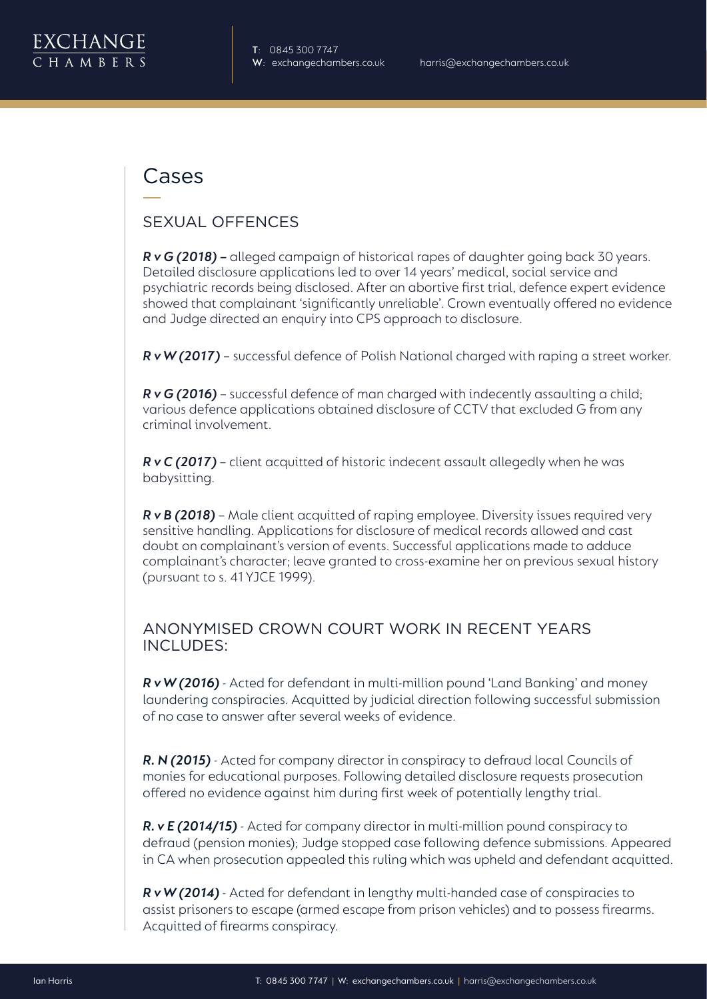

## Cases

### SEXUAL OFFENCES

*R v G (2018) –* alleged campaign of historical rapes of daughter going back 30 years. Detailed disclosure applications led to over 14 years' medical, social service and psychiatric records being disclosed. After an abortive first trial, defence expert evidence showed that complainant 'significantly unreliable'. Crown eventually offered no evidence and Judge directed an enquiry into CPS approach to disclosure.

*R v W (2017)* – successful defence of Polish National charged with raping a street worker.

*R v G (2016)* – successful defence of man charged with indecently assaulting a child; various defence applications obtained disclosure of CCTV that excluded G from any criminal involvement.

*R v C (2017)* – client acquitted of historic indecent assault allegedly when he was babysitting.

*R v B (2018)* – Male client acquitted of raping employee. Diversity issues required very sensitive handling. Applications for disclosure of medical records allowed and cast doubt on complainant's version of events. Successful applications made to adduce complainant's character; leave granted to cross-examine her on previous sexual history (pursuant to s. 41 YJCE 1999).

### ANONYMISED CROWN COURT WORK IN RECENT YEARS INCLUDES:

*R v W (2016)* - Acted for defendant in multi-million pound 'Land Banking' and money laundering conspiracies. Acquitted by judicial direction following successful submission of no case to answer after several weeks of evidence.

*R. N (2015)* - Acted for company director in conspiracy to defraud local Councils of monies for educational purposes. Following detailed disclosure requests prosecution offered no evidence against him during first week of potentially lengthy trial.

*R. v E (2014/15)* - Acted for company director in multi-million pound conspiracy to defraud (pension monies); Judge stopped case following defence submissions. Appeared in CA when prosecution appealed this ruling which was upheld and defendant acquitted.

*R v W (2014)* - Acted for defendant in lengthy multi-handed case of conspiracies to assist prisoners to escape (armed escape from prison vehicles) and to possess firearms. Acquitted of firearms conspiracy.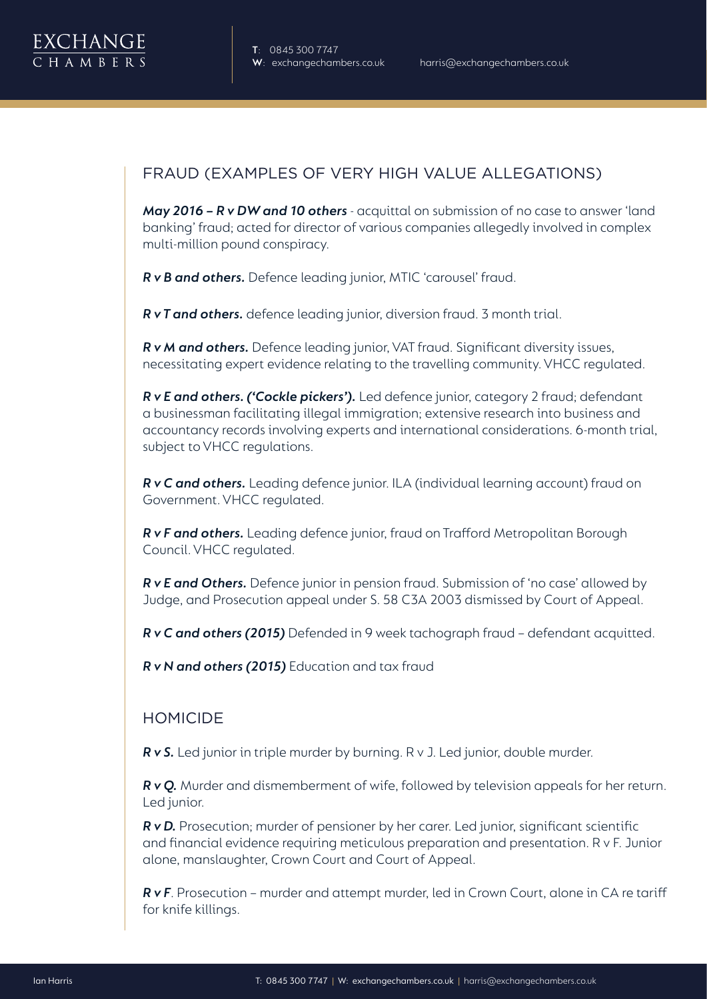

## FRAUD (EXAMPLES OF VERY HIGH VALUE ALLEGATIONS)

*May 2016 – R v DW and 10 others* - acquittal on submission of no case to answer 'land banking' fraud; acted for director of various companies allegedly involved in complex multi-million pound conspiracy.

*R v B and others.* Defence leading junior, MTIC 'carousel' fraud.

*R v T and others.* defence leading junior, diversion fraud. 3 month trial.

*R v M and others.* Defence leading junior, VAT fraud. Significant diversity issues, necessitating expert evidence relating to the travelling community. VHCC regulated.

*R v E and others. ('Cockle pickers').* Led defence junior, category 2 fraud; defendant a businessman facilitating illegal immigration; extensive research into business and accountancy records involving experts and international considerations. 6-month trial, subject to VHCC regulations.

*R v C and others.* Leading defence junior. ILA (individual learning account) fraud on Government. VHCC regulated.

*R v F and others.* Leading defence junior, fraud on Trafford Metropolitan Borough Council. VHCC regulated.

*R v E and Others.* Defence junior in pension fraud. Submission of 'no case' allowed by Judge, and Prosecution appeal under S. 58 C3A 2003 dismissed by Court of Appeal.

*R v C and others (2015)* Defended in 9 week tachograph fraud – defendant acquitted.

*R v N and others (2015)* Education and tax fraud

### HOMICIDE

*R v S.* Led junior in triple murder by burning. R v J. Led junior, double murder.

*R v Q.* Murder and dismemberment of wife, followed by television appeals for her return. Led junior.

*R v D.* Prosecution; murder of pensioner by her carer. Led junior, significant scientific and financial evidence requiring meticulous preparation and presentation. R v F. Junior alone, manslaughter, Crown Court and Court of Appeal.

*R v F*. Prosecution – murder and attempt murder, led in Crown Court, alone in CA re tariff for knife killings.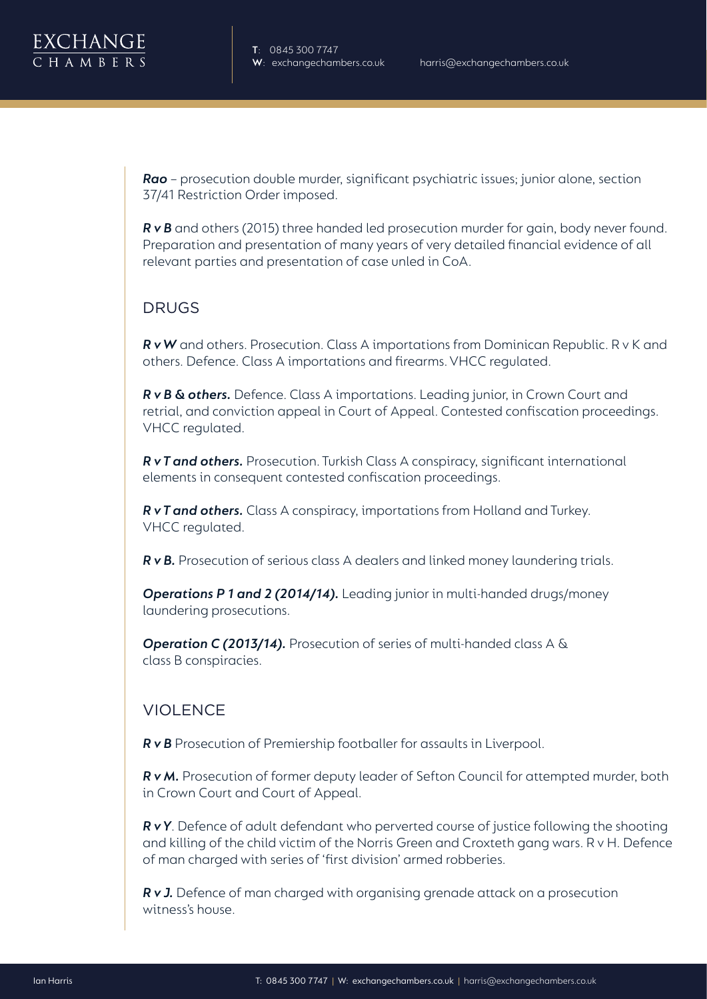

*Rao* – prosecution double murder, significant psychiatric issues; junior alone, section 37/41 Restriction Order imposed.

*R v B* and others (2015) three handed led prosecution murder for gain, body never found. Preparation and presentation of many years of very detailed financial evidence of all relevant parties and presentation of case unled in CoA.

### DRUGS

*R v W* and others. Prosecution. Class A importations from Dominican Republic. R v K and others. Defence. Class A importations and firearms. VHCC regulated.

*R v B & others.* Defence. Class A importations. Leading junior, in Crown Court and retrial, and conviction appeal in Court of Appeal. Contested confiscation proceedings. VHCC regulated.

*R v T and others.* Prosecution. Turkish Class A conspiracy, significant international elements in consequent contested confiscation proceedings.

*R v T and others.* Class A conspiracy, importations from Holland and Turkey. VHCC regulated.

*R v B.* Prosecution of serious class A dealers and linked money laundering trials.

*Operations P 1 and 2 (2014/14).* Leading junior in multi-handed drugs/money laundering prosecutions.

*Operation C (2013/14).* Prosecution of series of multi-handed class A & class B conspiracies.

### **VIOLENCE**

**R v B** Prosecution of Premiership footballer for assaults in Liverpool.

*R v M.* Prosecution of former deputy leader of Sefton Council for attempted murder, both in Crown Court and Court of Appeal.

*R v Y*. Defence of adult defendant who perverted course of justice following the shooting and killing of the child victim of the Norris Green and Croxteth gang wars. R v H. Defence of man charged with series of 'first division' armed robberies.

*R v J.* Defence of man charged with organising grenade attack on a prosecution witness's house.